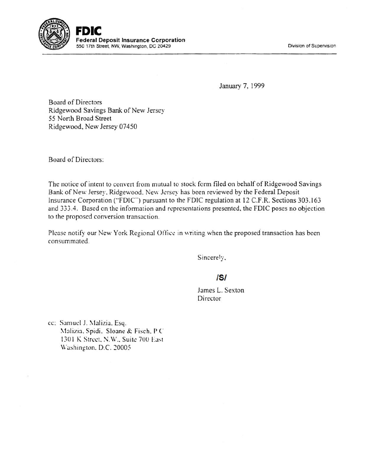

Division of Supervision

January 7, 1999

Board of Directors Ridgewood Savings Bank of New Jersey 55 North Broad Street Ridgewood, New Jersey 07450

Board of Directors:

The notice of intent to convert from mutual to stock form filed on behalf of Ridgewood Savings Bank of New Jersey. Ridgewood. New Jersey has been reviewed by the Federal Deposit Insurance Corporation ("FDIC') pursuant to the FDIC regulation at 12 C.F.R. Sections 303.163 and 333.4. Based on the information and representations presented. the FDIC poses no objection to the proposed conversion transaction.

Please notify our New York Regional Office in writing when the proposed transaction has been consummated.

Sincerely,

## **/5/**

James L. Sexton Director

cc: Samuel J. Malizia. Esq. Malizia, Spidi. Sloane & Fisch. P.C. 1301 K Street, N.W., Suite 700 East Washington, D.C. 20005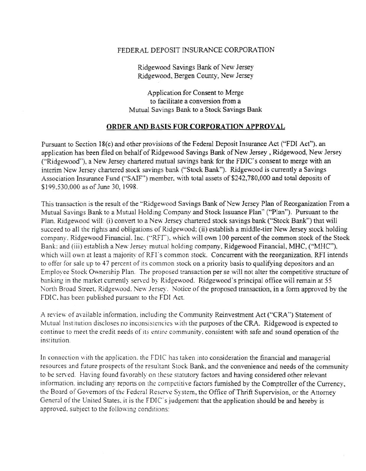## FEDERAL DEPOSIT INSURANCE CORPORATION

Ridgewood Savings Bank of New Jersey Ridgewood, Bergen County, New Jersey

Application for Consent to Merge to facilitate a conversion from a Mutual Savings Bank to a Stock Savings Bank

## ORDER AND BASIS FOR CORPORATION APPROVAL

Pursuant to Section 18(c) and other provisions of the Federal Deposit Insurance Act ("FDI Act"), an application has been filed on behalf of Ridgewood Savings Bank of New Jersey, Ridgewood, New Jersey ("Ridgewood"), a New Jersey chartered mutual savings bank for the FDIC's consent to merge with an interim New Jersey chartered stock savings bank ("Stock Bank"). Ridgewood is currently a Savings Association Insurance Fund ("SAIF") member. with total assets of \$242.780,000 and total deposits of \$199.530,000 as of June 30, 1998.

This transaction is the result of the ''Ridgewood Savings Bank of New Jersey Plan of Reorganization From a Mutual Savings Bank to a Mutual Holding Company and Stock Issuance Plan" ("Plan"). Pursuant to the Plan. Ridgewood will: (i) convert to a New Jersey chartered stock savings bank ("Stock Bank") that will succeed to all the rights and obligations of Ridgewood: (ii) establish a middle-tier New Jersey stock holding company. Ridgewood Financial. Inc. ("RFI"), which will own 100 percent of the common stock of the Stock Bank: and (iii) establish a New Jersey mutual holding company, Ridgewood Financial, MHC, ("MHC"), which will own at least a majority of RFI's common stock. Concurrent with the reorganization, RFI intends to offer for sale up to 47 percent of its common stock on a priority basis to qualifying depositors and an Employee Stock Ownership Plan. The proposed transaction per se will not alter the competitive structure of banking in the market currently served by Ridgewood. Ridgewood's principal office will remain at 55 North Broad Street. Ridgewood. New Jersey. Notice of the proposed transaction, in a form approved by the FDIC. has been published pursuant to the FOI Act.

A review of available information. including the Community Reinvestment Act ("CRA") Statement of Mutual Institution discloses no inconsistencies with the purposes of the CRA. Ridgewood is expected to continue to meet the credit needs of its entire community, consistent with safe and sound operation of the institution.

In connection with the application. the FDIC has taken into consideration the financial and managerial resources and future prospects of the resultant Stock Bank, and the convenience and needs of the community to be served. Having found favorably on these statutory factors and having considered other relevant information. including any reports on the competitive factors furnished by the Comptroller of the Currency, the Board of Governors of the Federal Reserve System, the Office of Thrift Supervision, or the Attorney General of the United States, it is the FDIC's judgement that the application should be and hereby is approved, subject to the following conditions: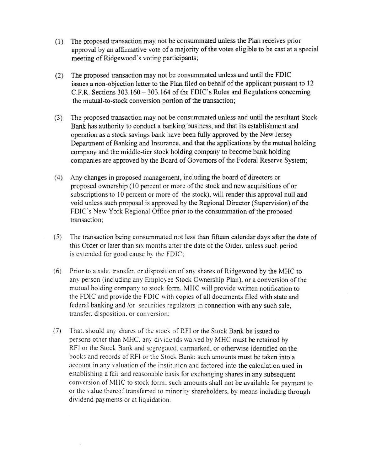- (1) The proposed transaction may not be consummated unless the Plan receives prior approval by an affirmative vote of a majority of the votes eligible to be cast at a special meeting of Ridgewood's voting participants;
- (2) The proposed transaction may not be consummated unless and until the FDIC issues a non-objection letter to the Plan filed on behalf of the applicant pursuant to 12 C.F.R. Sections 303.160-303.164 of the FDIC's Rules and Regulations concerning the mutual-to-stock conversion portion of the transaction;
- (3) The proposed transaction may not be consummated unless and until the resultant Stock Bank has authority to conduct a banking business, and that its establishment and operation as a stock savings bank have been fully approved by the New Jersey Department of Banking and Insurance, and that the applications by the mutual holding company and the middle-tier stock holding company to become bank holding companies are approved by the Board of Governors of the Federal Reserve System;
- (4) Any changes in proposed management, including the board of directors or proposed ownership (10 percent or more of the stock and new acquisitions of or subscriptions to 10 percent or more of the stock), will render this approval null and void unless such proposal is approved by the Regional Director (Supervision) of the FDIC's New York Regional Office prior to the consummation of the proposed transaction;
- ( 5) The transaction being consummated not less than fifteen calendar days after the date of this Order or later than six months after the date of the Order. unless such period is extended for good cause by the FDIC:
- (6) Prior to a sale. transfer. or disposition of any shares of Ridgewood by the MHC to any person (including any Employee Stock Ownership Plan). or a conversion of the mutual holding company to stock form. MHC will provide written notification to the FDIC and provide the FDIC with copies of all documents filed with state and federal banking and /or securities regulators in connection with any such sale, transfer. disposition. or conversion:
- (7) That. should any shares of the! stock of RFI or the Stock Bank be issued to persons other than MHC, any dividends waived by MHC must be retained by RFI or the Stock Bank and segregated. earmarked. or otherwise identified on the books and records of RFI or the Stock Bank: such amounts must be taken into a account in any valuation of the institution and factored into the calculation used in establishing a fair and reasonable basis for exchanging shares in any subsequent conversion of MHC to stock fonn: such amounts shall not be available for payment to or the value thereof transferred to minority shareholders, by means including through dividend payments or at liquidation.